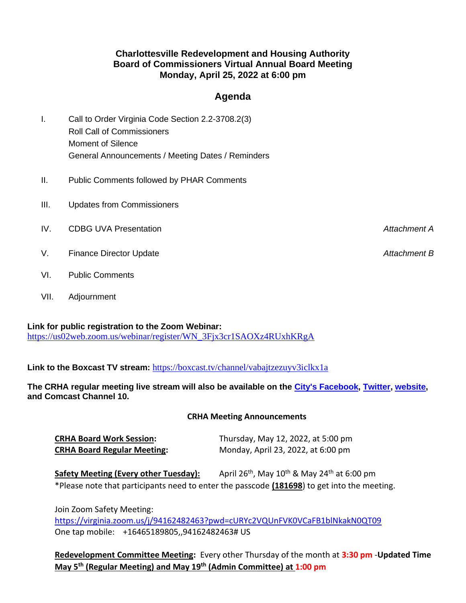## **Charlottesville Redevelopment and Housing Authority Board of Commissioners Virtual Annual Board Meeting Monday, April 25, 2022 at 6:00 pm**

## **Agenda**

- I. Call to Order Virginia Code Section 2.2-3708.2(3) Roll Call of Commissioners Moment of Silence General Announcements / Meeting Dates / Reminders
- II. Public Comments followed by PHAR Comments
- III. Updates from Commissioners
- IV. CDBG UVA Presentation *Attachment A*
- V. Finance Director Update *Attachment B*
- VI. Public Comments
- VII. Adjournment

## **Link for public registration to the Zoom Webinar:**

[https://us02web.zoom.us/webinar/register/WN\\_3Fjx3cr1SAOXz4RUxhKRgA](https://us02web.zoom.us/webinar/register/WN_3Fjx3cr1SAOXz4RUxhKRgA)

**Link to the Boxcast TV stream:** <https://boxcast.tv/channel/vabajtzezuyv3iclkx1a>

**The CRHA regular meeting live stream will also be available on the [City's Facebook,](https://www.facebook.com/CharlottesvilleCityHall) [Twitter,](https://twitter.com/cvillecityhall) [website,](https://www.charlottesville.gov/1252/TV10-247-Livestream) and Comcast Channel 10.**

## **CRHA Meeting Announcements**

| <b>CRHA Board Work Session:</b>    | Thursday, May 12, 2022, at 5:00 pm |
|------------------------------------|------------------------------------|
| <b>CRHA Board Regular Meeting:</b> | Monday, April 23, 2022, at 6:00 pm |

**Safety Meeting (Every other Tuesday):** April 26<sup>th</sup>, May 10<sup>th</sup> & May 24<sup>th</sup> at 6:00 pm \*Please note that participants need to enter the passcode **(181698**) to get into the meeting.

Join Zoom Safety Meeting:

<https://virginia.zoom.us/j/94162482463?pwd=cURYc2VQUnFVK0VCaFB1blNkakN0QT09> One tap mobile: +16465189805,,94162482463# US

**Redevelopment Committee Meeting:** Every other Thursday of the month at **3:30 pm** -**Updated Time May 5 th (Regular Meeting) and May 19 th (Admin Committee) at 1:00 pm**